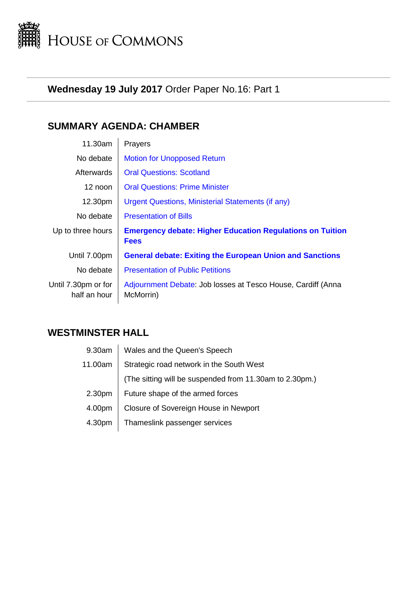

# **Wednesday 19 July 2017** Order Paper No.16: Part 1

# **SUMMARY AGENDA: CHAMBER**

| 11.30am                             | Prayers                                                                         |
|-------------------------------------|---------------------------------------------------------------------------------|
| No debate                           | <b>Motion for Unopposed Return</b>                                              |
| Afterwards                          | <b>Oral Questions: Scotland</b>                                                 |
| 12 noon                             | <b>Oral Questions: Prime Minister</b>                                           |
| 12.30pm                             | Urgent Questions, Ministerial Statements (if any)                               |
| No debate                           | <b>Presentation of Bills</b>                                                    |
| Up to three hours                   | <b>Emergency debate: Higher Education Regulations on Tuition</b><br><b>Fees</b> |
| Until 7.00pm                        | <b>General debate: Exiting the European Union and Sanctions</b>                 |
| No debate                           | <b>Presentation of Public Petitions</b>                                         |
| Until 7.30pm or for<br>half an hour | Adjournment Debate: Job losses at Tesco House, Cardiff (Anna<br>McMorrin)       |

# **WESTMINSTER HALL**

 $\mathcal{A}$ 

| 9.30am             | Wales and the Queen's Speech                            |
|--------------------|---------------------------------------------------------|
| 11.00am            | Strategic road network in the South West                |
|                    | (The sitting will be suspended from 11.30am to 2.30pm.) |
| 2.30 <sub>pm</sub> | Future shape of the armed forces                        |
| 4.00pm             | Closure of Sovereign House in Newport                   |
| 4.30pm             | Thameslink passenger services                           |
|                    |                                                         |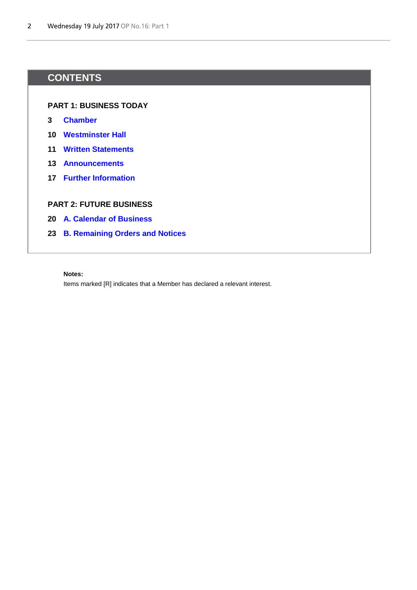# **CONTENTS**

# **PART 1: BUSINESS TODAY**

- **[3](#page-2-2) [Chamber](#page-2-3)**
- **[10](#page-9-0) [Westminster Hall](#page-9-1)**
- **[11](#page-10-0) [Written Statements](#page-10-1)**
- **[13](#page-12-0) [Announcements](#page-12-1)**
- **[17](#page-16-0) [Further Information](#page-16-0)**

# **PART 2: FUTURE BUSINESS**

- **[20](#page-19-0) [A. Calendar of Business](#page-19-1)**
- **[23](#page-22-0) [B. Remaining Orders and Notices](#page-22-1)**

### **Notes:**

Items marked [R] indicates that a Member has declared a relevant interest.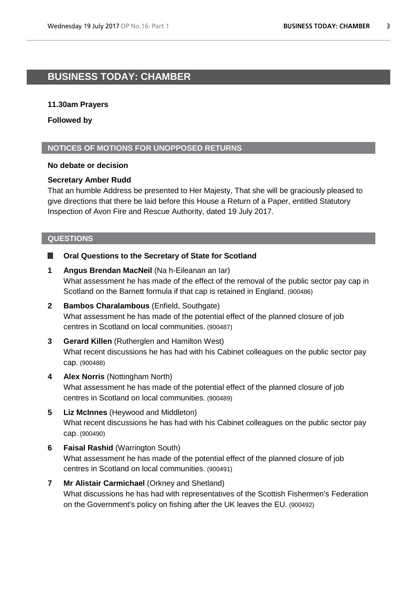# <span id="page-2-3"></span><span id="page-2-2"></span>**BUSINESS TODAY: CHAMBER**

### **11.30am Prayers**

<span id="page-2-0"></span>**Followed by**

### **NOTICES OF MOTIONS FOR UNOPPOSED RETURNS**

### **No debate or decision**

## **Secretary Amber Rudd**

That an humble Address be presented to Her Majesty, That she will be graciously pleased to give directions that there be laid before this House a Return of a Paper, entitled Statutory Inspection of Avon Fire and Rescue Authority, dated 19 July 2017.

### **QUESTIONS**

- <span id="page-2-1"></span>**Oral Questions to the Secretary of State for Scotland**
- **1 Angus Brendan MacNeil** (Na h-Eileanan an Iar) What assessment he has made of the effect of the removal of the public sector pay cap in Scotland on the Barnett formula if that cap is retained in England. (900486)
- **2 Bambos Charalambous** (Enfield, Southgate) What assessment he has made of the potential effect of the planned closure of job centres in Scotland on local communities. (900487)
- **3 Gerard Killen** (Rutherglen and Hamilton West) What recent discussions he has had with his Cabinet colleagues on the public sector pay cap. (900488)
- **4 Alex Norris** (Nottingham North) What assessment he has made of the potential effect of the planned closure of job centres in Scotland on local communities. (900489)
- **5 Liz McInnes** (Heywood and Middleton) What recent discussions he has had with his Cabinet colleagues on the public sector pay cap. (900490)
- **6 Faisal Rashid** (Warrington South) What assessment he has made of the potential effect of the planned closure of job centres in Scotland on local communities. (900491)
- **7 Mr Alistair Carmichael** (Orkney and Shetland) What discussions he has had with representatives of the Scottish Fishermen's Federation on the Government's policy on fishing after the UK leaves the EU. (900492)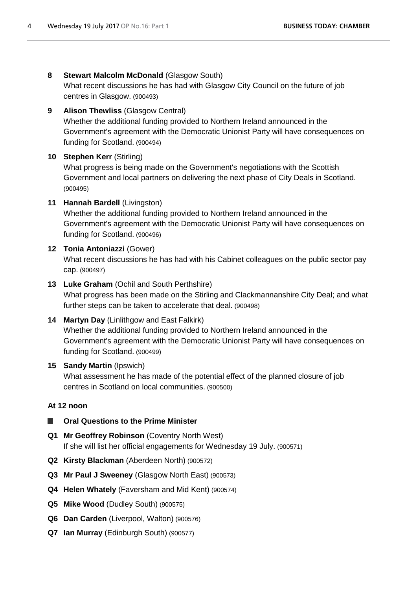# **8 Stewart Malcolm McDonald** (Glasgow South)

What recent discussions he has had with Glasgow City Council on the future of job centres in Glasgow. (900493)

# **9 Alison Thewliss** (Glasgow Central)

Whether the additional funding provided to Northern Ireland announced in the Government's agreement with the Democratic Unionist Party will have consequences on funding for Scotland. (900494)

# **10 Stephen Kerr** (Stirling)

What progress is being made on the Government's negotiations with the Scottish Government and local partners on delivering the next phase of City Deals in Scotland. (900495)

# **11 Hannah Bardell** (Livingston)

Whether the additional funding provided to Northern Ireland announced in the Government's agreement with the Democratic Unionist Party will have consequences on funding for Scotland. (900496)

# **12 Tonia Antoniazzi** (Gower)

What recent discussions he has had with his Cabinet colleagues on the public sector pay cap. (900497)

## **13 Luke Graham** (Ochil and South Perthshire)

What progress has been made on the Stirling and Clackmannanshire City Deal; and what further steps can be taken to accelerate that deal. (900498)

# **14 Martyn Day** (Linlithgow and East Falkirk)

Whether the additional funding provided to Northern Ireland announced in the Government's agreement with the Democratic Unionist Party will have consequences on funding for Scotland. (900499)

# **15 Sandy Martin** (Ipswich)

What assessment he has made of the potential effect of the planned closure of job centres in Scotland on local communities. (900500)

# <span id="page-3-0"></span>**At 12 noon**

# **Oral Questions to the Prime Minister**

- **Q1 Mr Geoffrey Robinson** (Coventry North West) If she will list her official engagements for Wednesday 19 July. (900571)
- **Q2 Kirsty Blackman** (Aberdeen North) (900572)
- **Q3 Mr Paul J Sweeney** (Glasgow North East) (900573)
- **Q4 Helen Whately** (Faversham and Mid Kent) (900574)
- **Q5 Mike Wood** (Dudley South) (900575)
- **Q6 Dan Carden** (Liverpool, Walton) (900576)
- **Q7 Ian Murray** (Edinburgh South) (900577)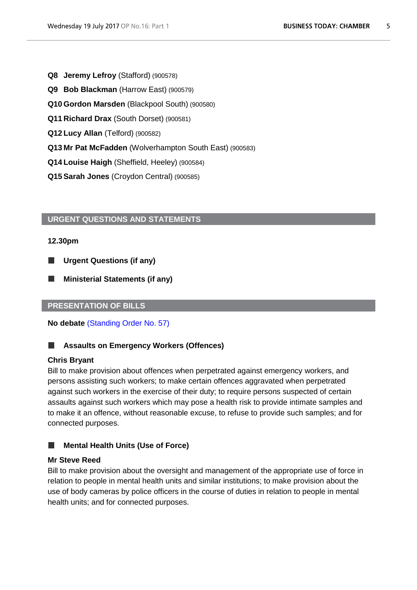- **Q8 Jeremy Lefroy** (Stafford) (900578)
- **Q9 Bob Blackman** (Harrow East) (900579)
- **Q10 Gordon Marsden** (Blackpool South) (900580)
- **Q11 Richard Drax** (South Dorset) (900581)
- **Q12 Lucy Allan** (Telford) (900582)
- **Q13 Mr Pat McFadden** (Wolverhampton South East) (900583)
- **Q14 Louise Haigh** (Sheffield, Heeley) (900584)
- **Q15 Sarah Jones** (Croydon Central) (900585)

# <span id="page-4-0"></span>**URGENT QUESTIONS AND STATEMENTS**

### **12.30pm**

- **Urgent Questions (if any)** ш
- <span id="page-4-1"></span>**Ministerial Statements (if any)**

## **PRESENTATION OF BILLS**

**No debate** [\(Standing Order No. 57\)](https://www.publications.parliament.uk/pa/cm201718/cmstords/0004/body.html#57)

# **Assaults on Emergency Workers (Offences)**

### **Chris Bryant**

Bill to make provision about offences when perpetrated against emergency workers, and persons assisting such workers; to make certain offences aggravated when perpetrated against such workers in the exercise of their duty; to require persons suspected of certain assaults against such workers which may pose a health risk to provide intimate samples and to make it an offence, without reasonable excuse, to refuse to provide such samples; and for connected purposes.

#### **Mental Health Units (Use of Force)** ш

### **Mr Steve Reed**

Bill to make provision about the oversight and management of the appropriate use of force in relation to people in mental health units and similar institutions; to make provision about the use of body cameras by police officers in the course of duties in relation to people in mental health units; and for connected purposes.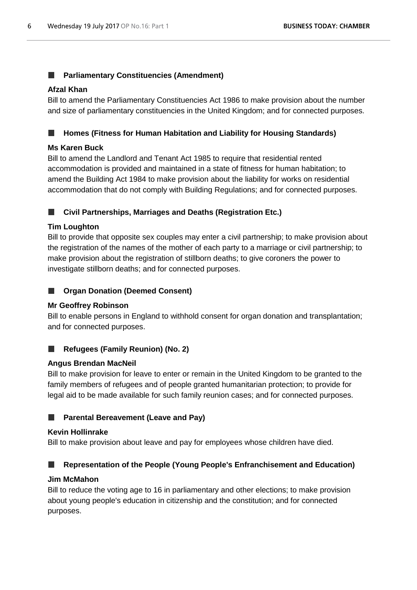#### **Parliamentary Constituencies (Amendment)** ш

### **Afzal Khan**

Bill to amend the Parliamentary Constituencies Act 1986 to make provision about the number and size of parliamentary constituencies in the United Kingdom; and for connected purposes.

#### **Homes (Fitness for Human Habitation and Liability for Housing Standards)** п

## **Ms Karen Buck**

Bill to amend the Landlord and Tenant Act 1985 to require that residential rented accommodation is provided and maintained in a state of fitness for human habitation; to amend the Building Act 1984 to make provision about the liability for works on residential accommodation that do not comply with Building Regulations; and for connected purposes.

# **Civil Partnerships, Marriages and Deaths (Registration Etc.)**

# **Tim Loughton**

Bill to provide that opposite sex couples may enter a civil partnership; to make provision about the registration of the names of the mother of each party to a marriage or civil partnership; to make provision about the registration of stillborn deaths; to give coroners the power to investigate stillborn deaths; and for connected purposes.

#### **Organ Donation (Deemed Consent)** ш

### **Mr Geoffrey Robinson**

Bill to enable persons in England to withhold consent for organ donation and transplantation; and for connected purposes.

#### **Refugees (Family Reunion) (No. 2)** ш

### **Angus Brendan MacNeil**

Bill to make provision for leave to enter or remain in the United Kingdom to be granted to the family members of refugees and of people granted humanitarian protection; to provide for legal aid to be made available for such family reunion cases; and for connected purposes.

### **Parental Bereavement (Leave and Pay)**

### **Kevin Hollinrake**

Bill to make provision about leave and pay for employees whose children have died.

#### **Representation of the People (Young People's Enfranchisement and Education)** ш

### **Jim McMahon**

Bill to reduce the voting age to 16 in parliamentary and other elections; to make provision about young people's education in citizenship and the constitution; and for connected purposes.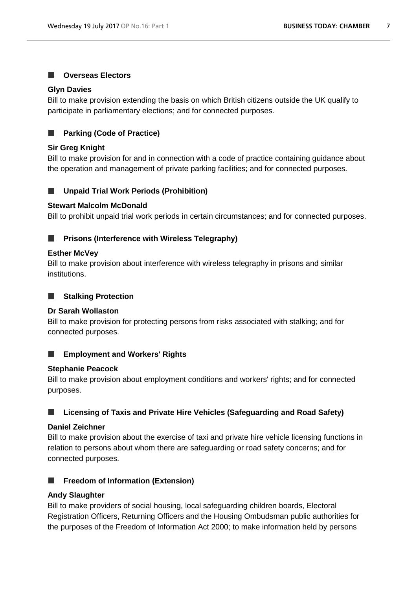#### **Overseas Electors**  $\Box$

#### **Glyn Davies**

Bill to make provision extending the basis on which British citizens outside the UK qualify to participate in parliamentary elections; and for connected purposes.

#### $\Box$ **Parking (Code of Practice)**

#### **Sir Greg Knight**

Bill to make provision for and in connection with a code of practice containing guidance about the operation and management of private parking facilities; and for connected purposes.

#### **Unpaid Trial Work Periods (Prohibition)** ш

#### **Stewart Malcolm McDonald**

Bill to prohibit unpaid trial work periods in certain circumstances; and for connected purposes.

#### **Prisons (Interference with Wireless Telegraphy)** ш

#### **Esther McVey**

Bill to make provision about interference with wireless telegraphy in prisons and similar institutions.

#### **Stalking Protection** ш

### **Dr Sarah Wollaston**

Bill to make provision for protecting persons from risks associated with stalking; and for connected purposes.

#### ш **Employment and Workers' Rights**

#### **Stephanie Peacock**

Bill to make provision about employment conditions and workers' rights; and for connected purposes.

#### . **Licensing of Taxis and Private Hire Vehicles (Safeguarding and Road Safety)**

#### **Daniel Zeichner**

Bill to make provision about the exercise of taxi and private hire vehicle licensing functions in relation to persons about whom there are safeguarding or road safety concerns; and for connected purposes.

#### **Freedom of Information (Extension)** ш

#### **Andy Slaughter**

Bill to make providers of social housing, local safeguarding children boards, Electoral Registration Officers, Returning Officers and the Housing Ombudsman public authorities for the purposes of the Freedom of Information Act 2000; to make information held by persons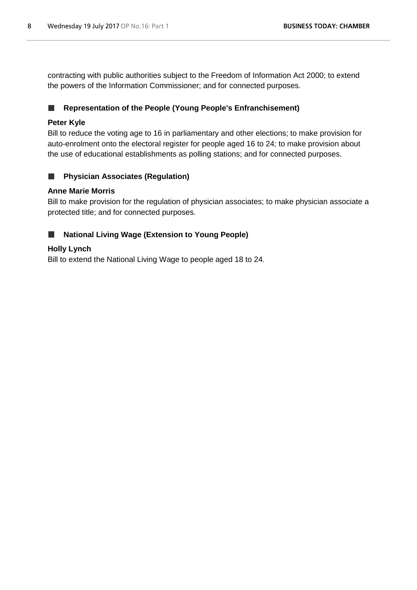contracting with public authorities subject to the Freedom of Information Act 2000; to extend the powers of the Information Commissioner; and for connected purposes.

#### **Representation of the People (Young People's Enfranchisement)** ш

# **Peter Kyle**

Bill to reduce the voting age to 16 in parliamentary and other elections; to make provision for auto-enrolment onto the electoral register for people aged 16 to 24; to make provision about the use of educational establishments as polling stations; and for connected purposes.

#### **Physician Associates (Regulation)**  $\mathbb{R}^n$

## **Anne Marie Morris**

Bill to make provision for the regulation of physician associates; to make physician associate a protected title; and for connected purposes.

#### **National Living Wage (Extension to Young People)** ш

# **Holly Lynch**

Bill to extend the National Living Wage to people aged 18 to 24.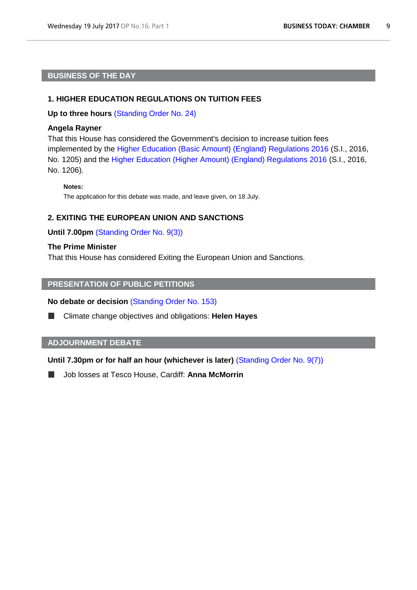# <span id="page-8-0"></span>**BUSINESS OF THE DAY**

### **1. HIGHER EDUCATION REGULATIONS ON TUITION FEES**

**Up to three hours** [\(Standing Order No. 24\)](https://www.publications.parliament.uk/pa/cm201718/cmstords/0004/body.html#24)

## **Angela Rayner**

That this House has considered the Government's decision to increase tuition fees implemented by the [Higher Education \(Basic Amount\) \(England\) Regulations 2016](http://www.legislation.gov.uk/uksi/2016/1205/pdfs/uksi_20161205_en.pdf) (S.I., 2016, No. 1205) and the [Higher Education \(Higher Amount\) \(England\) Regulations 2016](http://www.legislation.gov.uk/uksi/2016/1206/pdfs/uksi_20161206_en.pdf) (S.I., 2016, No. 1206).

#### **Notes:**

The application for this debate was made, and leave given, on 18 July.

#### <span id="page-8-1"></span>**2. EXITING THE EUROPEAN UNION AND SANCTIONS**

#### **Until 7.00pm** [\(Standing Order No. 9\(3\)\)](https://www.publications.parliament.uk/pa/cm201718/cmstords/0004/body.html#9(3))

#### **The Prime Minister**

<span id="page-8-2"></span>That this House has considered Exiting the European Union and Sanctions.

### **PRESENTATION OF PUBLIC PETITIONS**

#### **No debate or decision** [\(Standing Order No. 153\)](https://www.publications.parliament.uk/pa/cm201718/cmstords/0004/body.html#153)

<span id="page-8-3"></span>п Climate change objectives and obligations: **Helen Hayes**

### **ADJOURNMENT DEBATE**

**Until 7.30pm or for half an hour (whichever is later)** [\(Standing Order No. 9\(7\)\)](https://www.publications.parliament.uk/pa/cm201718/cmstords/0004/body.html#9(7))

Job losses at Tesco House, Cardiff: **Anna McMorrin**ш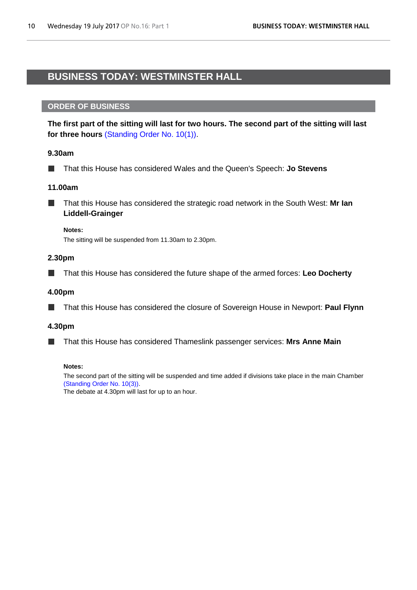# <span id="page-9-1"></span><span id="page-9-0"></span>**BUSINESS TODAY: WESTMINSTER HALL**

### **ORDER OF BUSINESS**

**The first part of the sitting will last for two hours. The second part of the sitting will last for three hours** [\(Standing Order No. 10\(1\)\).](https://www.publications.parliament.uk/pa/cm201718/cmstords/0004/body.html#10(1))

## **9.30am**

That this House has considered Wales and the Queen's Speech: **Jo Stevens**  $\Box$ 

### **11.00am**

That this House has considered the strategic road network in the South West: **Mr Ian**  H **Liddell-Grainger**

**Notes:**

The sitting will be suspended from 11.30am to 2.30pm.

#### **2.30pm**

That this House has considered the future shape of the armed forces: **Leo Docherty**  $\mathbb{R}^n$ 

#### **4.00pm**

That this House has considered the closure of Sovereign House in Newport: **Paul Flynn** ш

### **4.30pm**

That this House has considered Thameslink passenger services: **Mrs Anne Main**

#### **Notes:**

The second part of the sitting will be suspended and time added if divisions take place in the main Chamber [\(Standing Order No. 10\(3\)\).](https://www.publications.parliament.uk/pa/cm201718/cmstords/0004/body.html#10(3))

The debate at 4.30pm will last for up to an hour.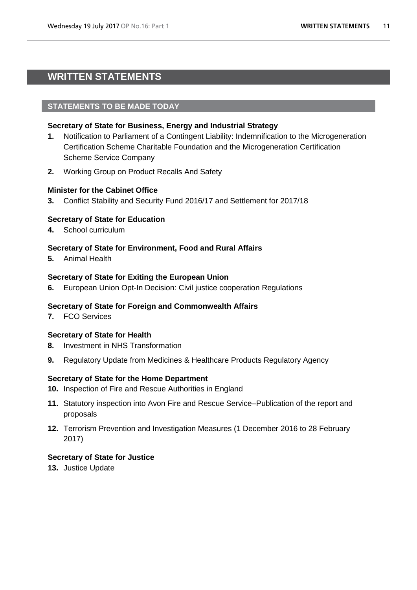# <span id="page-10-1"></span><span id="page-10-0"></span>**WRITTEN STATEMENTS**

# **STATEMENTS TO BE MADE TODAY**

#### **Secretary of State for Business, Energy and Industrial Strategy**

- **1.** Notification to Parliament of a Contingent Liability: Indemnification to the Microgeneration Certification Scheme Charitable Foundation and the Microgeneration Certification Scheme Service Company
- **2.** Working Group on Product Recalls And Safety

### **Minister for the Cabinet Office**

**3.** Conflict Stability and Security Fund 2016/17 and Settlement for 2017/18

### **Secretary of State for Education**

**4.** School curriculum

## **Secretary of State for Environment, Food and Rural Affairs**

**5.** Animal Health

### **Secretary of State for Exiting the European Union**

**6.** European Union Opt-In Decision: Civil justice cooperation Regulations

### **Secretary of State for Foreign and Commonwealth Affairs**

**7.** FCO Services

### **Secretary of State for Health**

- **8.** Investment in NHS Transformation
- **9.** Regulatory Update from Medicines & Healthcare Products Regulatory Agency

### **Secretary of State for the Home Department**

- **10.** Inspection of Fire and Rescue Authorities in England
- **11.** Statutory inspection into Avon Fire and Rescue Service–Publication of the report and proposals
- **12.** Terrorism Prevention and Investigation Measures (1 December 2016 to 28 February 2017)

### **Secretary of State for Justice**

**13.** Justice Update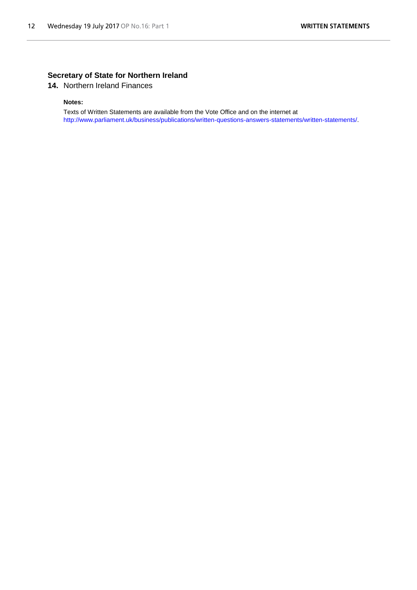## **Secretary of State for Northern Ireland**

**14.** Northern Ireland Finances

#### **Notes:**

Texts of Written Statements are available from the Vote Office and on the internet at [http://www.parliament.uk/business/publications/written-questions-answers-statements/written-statements/.](http://www.parliament.uk/business/publications/written-questions-answers-statements/written-statements/)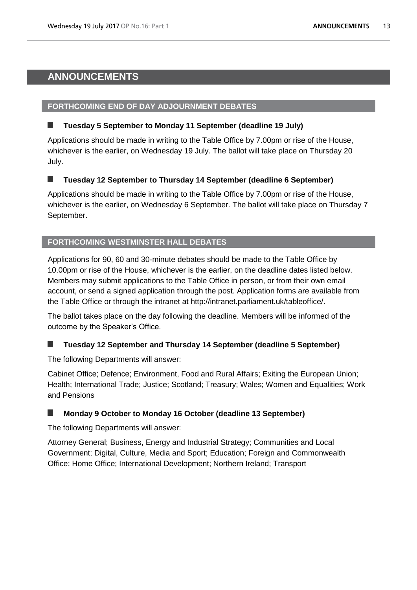# <span id="page-12-1"></span><span id="page-12-0"></span>**ANNOUNCEMENTS**

# **FORTHCOMING END OF DAY ADJOURNMENT DEBATES**

# **Tuesday 5 September to Monday 11 September (deadline 19 July)**

Applications should be made in writing to the Table Office by 7.00pm or rise of the House, whichever is the earlier, on Wednesday 19 July. The ballot will take place on Thursday 20 July.

#### **Tuesday 12 September to Thursday 14 September (deadline 6 September)** Ш

Applications should be made in writing to the Table Office by 7.00pm or rise of the House, whichever is the earlier, on Wednesday 6 September. The ballot will take place on Thursday 7 September.

# **FORTHCOMING WESTMINSTER HALL DEBATES**

Applications for 90, 60 and 30-minute debates should be made to the Table Office by 10.00pm or rise of the House, whichever is the earlier, on the deadline dates listed below. Members may submit applications to the Table Office in person, or from their own email account, or send a signed application through the post. Application forms are available from the Table Office or through the intranet at http://intranet.parliament.uk/tableoffice/.

The ballot takes place on the day following the deadline. Members will be informed of the outcome by the Speaker's Office.

# **Tuesday 12 September and Thursday 14 September (deadline 5 September)**

The following Departments will answer:

Cabinet Office; Defence; Environment, Food and Rural Affairs; Exiting the European Union; Health; International Trade; Justice; Scotland; Treasury; Wales; Women and Equalities; Work and Pensions

# **Monday 9 October to Monday 16 October (deadline 13 September)**

The following Departments will answer:

Attorney General; Business, Energy and Industrial Strategy; Communities and Local Government; Digital, Culture, Media and Sport; Education; Foreign and Commonwealth Office; Home Office; International Development; Northern Ireland; Transport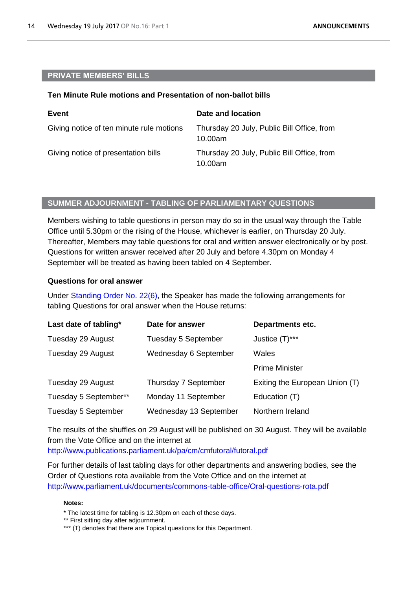# **PRIVATE MEMBERS' BILLS**

#### **Ten Minute Rule motions and Presentation of non-ballot bills**

| Event                                    | Date and location                                     |
|------------------------------------------|-------------------------------------------------------|
| Giving notice of ten minute rule motions | Thursday 20 July, Public Bill Office, from<br>10.00am |
| Giving notice of presentation bills      | Thursday 20 July, Public Bill Office, from<br>10.00am |

#### **SUMMER ADJOURNMENT - TABLING OF PARLIAMENTARY QUESTIONS**

Members wishing to table questions in person may do so in the usual way through the Table Office until 5.30pm or the rising of the House, whichever is earlier, on Thursday 20 July. Thereafter, Members may table questions for oral and written answer electronically or by post. Questions for written answer received after 20 July and before 4.30pm on Monday 4 September will be treated as having been tabled on 4 September.

#### **Questions for oral answer**

Under [Standing Order No. 22\(6\),](https://www.publications.parliament.uk/pa/cm201718/cmstords/0004/body.html#22(6)) the Speaker has made the following arrangements for tabling Questions for oral answer when the House returns:

| Last date of tabling*      | Date for answer            | <b>Departments etc.</b>        |
|----------------------------|----------------------------|--------------------------------|
| Tuesday 29 August          | <b>Tuesday 5 September</b> | Justice (T)***                 |
| Tuesday 29 August          | Wednesday 6 September      | Wales                          |
|                            |                            | <b>Prime Minister</b>          |
| Tuesday 29 August          | Thursday 7 September       | Exiting the European Union (T) |
| Tuesday 5 September**      | Monday 11 September        | Education (T)                  |
| <b>Tuesday 5 September</b> | Wednesday 13 September     | Northern Ireland               |

The results of the shuffles on 29 August will be published on 30 August. They will be available from the Vote Office and on the internet at <http://www.publications.parliament.uk/pa/cm/cmfutoral/futoral.pdf>

For further details of last tabling days for other departments and answering bodies, see the Order of Questions rota available from the Vote Office and on the internet at <http://www.parliament.uk/documents/commons-table-office/Oral-questions-rota.pdf>

#### **Notes:**

- \* The latest time for tabling is 12.30pm on each of these days.
- \*\* First sitting day after adjournment.
- \*\*\* (T) denotes that there are Topical questions for this Department.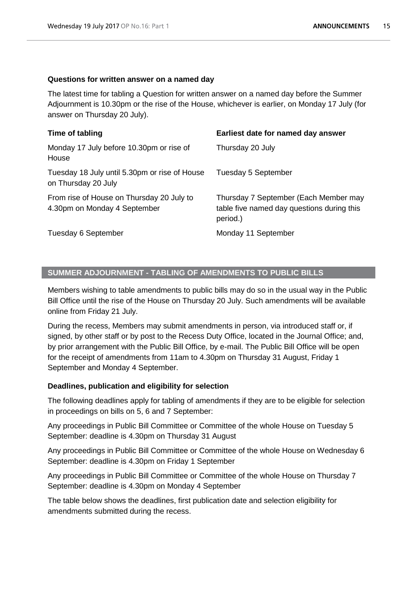### **Questions for written answer on a named day**

The latest time for tabling a Question for written answer on a named day before the Summer Adjournment is 10.30pm or the rise of the House, whichever is earlier, on Monday 17 July (for answer on Thursday 20 July).

| Time of tabling                                                           | Earliest date for named day answer                                                              |
|---------------------------------------------------------------------------|-------------------------------------------------------------------------------------------------|
| Monday 17 July before 10.30pm or rise of<br>House                         | Thursday 20 July                                                                                |
| Tuesday 18 July until 5.30pm or rise of House<br>on Thursday 20 July      | Tuesday 5 September                                                                             |
| From rise of House on Thursday 20 July to<br>4.30pm on Monday 4 September | Thursday 7 September (Each Member may<br>table five named day questions during this<br>period.) |
| Tuesday 6 September                                                       | Monday 11 September                                                                             |

# **SUMMER ADJOURNMENT - TABLING OF AMENDMENTS TO PUBLIC BILLS**

Members wishing to table amendments to public bills may do so in the usual way in the Public Bill Office until the rise of the House on Thursday 20 July. Such amendments will be available online from Friday 21 July.

During the recess, Members may submit amendments in person, via introduced staff or, if signed, by other staff or by post to the Recess Duty Office, located in the Journal Office; and, by prior arrangement with the Public Bill Office, by e-mail. The Public Bill Office will be open for the receipt of amendments from 11am to 4.30pm on Thursday 31 August, Friday 1 September and Monday 4 September.

# **Deadlines, publication and eligibility for selection**

The following deadlines apply for tabling of amendments if they are to be eligible for selection in proceedings on bills on 5, 6 and 7 September:

Any proceedings in Public Bill Committee or Committee of the whole House on Tuesday 5 September: deadline is 4.30pm on Thursday 31 August

Any proceedings in Public Bill Committee or Committee of the whole House on Wednesday 6 September: deadline is 4.30pm on Friday 1 September

Any proceedings in Public Bill Committee or Committee of the whole House on Thursday 7 September: deadline is 4.30pm on Monday 4 September

The table below shows the deadlines, first publication date and selection eligibility for amendments submitted during the recess.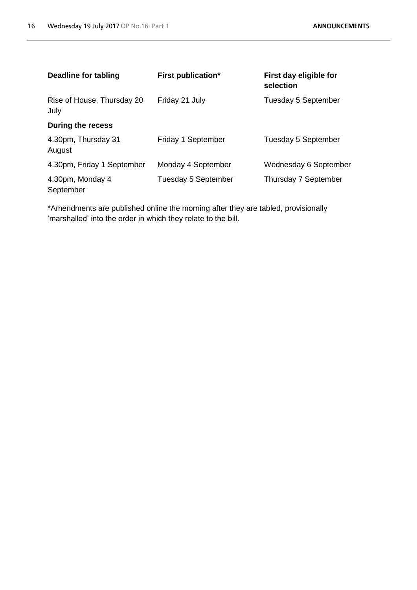| Deadline for tabling               | <b>First publication*</b> | First day eligible for<br>selection |
|------------------------------------|---------------------------|-------------------------------------|
| Rise of House, Thursday 20<br>July | Friday 21 July            | Tuesday 5 September                 |
| During the recess                  |                           |                                     |
| 4.30pm, Thursday 31<br>August      | Friday 1 September        | Tuesday 5 September                 |
| 4.30pm, Friday 1 September         | Monday 4 September        | Wednesday 6 September               |
| 4.30pm, Monday 4<br>September      | Tuesday 5 September       | Thursday 7 September                |

\*Amendments are published online the morning after they are tabled, provisionally 'marshalled' into the order in which they relate to the bill.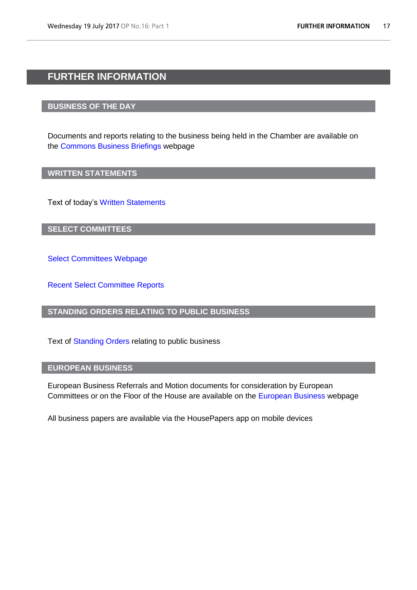# <span id="page-16-0"></span>**FURTHER INFORMATION**

# **BUSINESS OF THE DAY**

Documents and reports relating to the business being held in the Chamber are available on the [Commons Business Briefings](http://www.parliament.uk/business/publications/research/commons-business-briefings/) webpage

# **WRITTEN STATEMENTS**

Text of today's [Written Statements](http://www.parliament.uk/business/publications/written-questions-answers-statements/written-statements/)

**SELECT COMMITTEES**

[Select Committees Webpage](http://www.parliament.uk/business/committees/committees-a-z/commons-select/)

[Recent Select Committee Reports](http://www.parliament.uk/business/publications/committees/recent-reports/)

# **STANDING ORDERS RELATING TO PUBLIC BUSINESS**

Text of [Standing Orders](https://www.publications.parliament.uk/pa/cm201718/cmstords/0004/body.html) relating to public business

### **EUROPEAN BUSINESS**

European Business Referrals and Motion documents for consideration by European Committees or on the Floor of the House are available on the [European Business](http://www.parliament.uk/business/publications/business-papers/commons/european-business1/) webpage

All business papers are available via the HousePapers app on mobile devices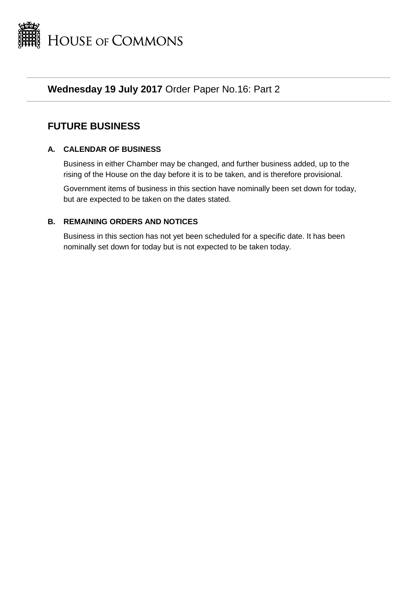

# **Wednesday 19 July 2017** Order Paper No.16: Part 2

# **FUTURE BUSINESS**

# **A. CALENDAR OF BUSINESS**

Business in either Chamber may be changed, and further business added, up to the rising of the House on the day before it is to be taken, and is therefore provisional.

Government items of business in this section have nominally been set down for today, but are expected to be taken on the dates stated.

# **B. REMAINING ORDERS AND NOTICES**

Business in this section has not yet been scheduled for a specific date. It has been nominally set down for today but is not expected to be taken today.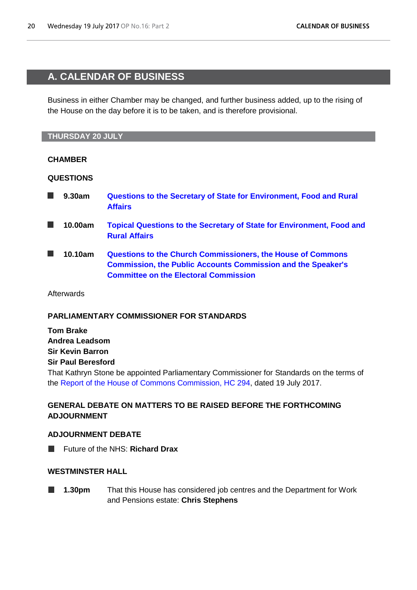# <span id="page-19-1"></span><span id="page-19-0"></span>**A. CALENDAR OF BUSINESS**

Business in either Chamber may be changed, and further business added, up to the rising of the House on the day before it is to be taken, and is therefore provisional.

# **THURSDAY 20 JULY**

# **CHAMBER**

# **QUESTIONS**

| 9.30am  | <b>Questions to the Secretary of State for Environment, Food and Rural</b><br><b>Affairs</b>                                                                                              |
|---------|-------------------------------------------------------------------------------------------------------------------------------------------------------------------------------------------|
| 10.00am | <b>Topical Questions to the Secretary of State for Environment, Food and</b><br><b>Rural Affairs</b>                                                                                      |
| 10.10am | <b>Questions to the Church Commissioners, the House of Commons</b><br><b>Commission, the Public Accounts Commission and the Speaker's</b><br><b>Committee on the Electoral Commission</b> |

### **Afterwards**

### **PARLIAMENTARY COMMISSIONER FOR STANDARDS**

**Tom Brake Andrea Leadsom Sir Kevin Barron Sir Paul Beresford**

That Kathryn Stone be appointed Parliamentary Commissioner for Standards on the terms of the [Report of the House of Commons Commission, HC 294,](http://www.parliament.uk/business/committees/committees-a-z/other-committees/house-of-commons-commission/publications/) dated 19 July 2017.

# **GENERAL DEBATE ON MATTERS TO BE RAISED BEFORE THE FORTHCOMING ADJOURNMENT**

# **ADJOURNMENT DEBATE**

Future of the NHS: **Richard Drax** п

# **WESTMINSTER HALL**

**1.30pm** That this House has considered job centres and the Department for Work and Pensions estate: **Chris Stephens**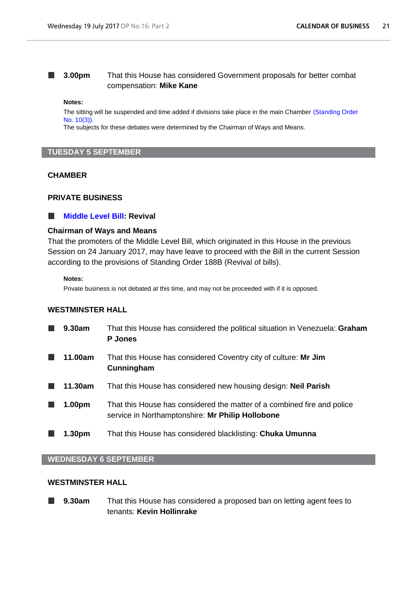# **3.00pm** That this House has considered Government proposals for better combat compensation: **Mike Kane**

#### **Notes:**

The sitting will be suspended and time added if divisions take place in the main Chamber (Standing Order [No. 10\(3\)\).](https://www.publications.parliament.uk/pa/cm201718/cmstords/0004/body.html#10(3))

The subjects for these debates were determined by the Chairman of Ways and Means.

### **TUESDAY 5 SEPTEMBER**

### **CHAMBER**

# **PRIVATE BUSINESS**

#### **[Middle Level Bill:](https://www.publications.parliament.uk/pa/bills/lbill/2016-2017/middlelevel/middle-level-bill-as-introduced.pdf) Revival** ш

# **Chairman of Ways and Means**

That the promoters of the Middle Level Bill, which originated in this House in the previous Session on 24 January 2017, may have leave to proceed with the Bill in the current Session according to the provisions of Standing Order 188B (Revival of bills).

#### **Notes:**

Private business is not debated at this time, and may not be proceeded with if it is opposed.

#### **WESTMINSTER HALL**

| 9.30am             | That this House has considered the political situation in Venezuela: Graham<br>P Jones                                      |
|--------------------|-----------------------------------------------------------------------------------------------------------------------------|
| 11.00am            | That this House has considered Coventry city of culture: Mr Jim<br>Cunningham                                               |
| 11.30am            | That this House has considered new housing design: Neil Parish                                                              |
| 1.00 <sub>pm</sub> | That this House has considered the matter of a combined fire and police<br>service in Northamptonshire: Mr Philip Hollobone |
| 1.30 <sub>pm</sub> | That this House has considered blacklisting: Chuka Umunna                                                                   |

### **WEDNESDAY 6 SEPTEMBER**

#### **WESTMINSTER HALL**

**9.30am** That this House has considered a proposed ban on letting agent fees to **Tale** tenants: **Kevin Hollinrake**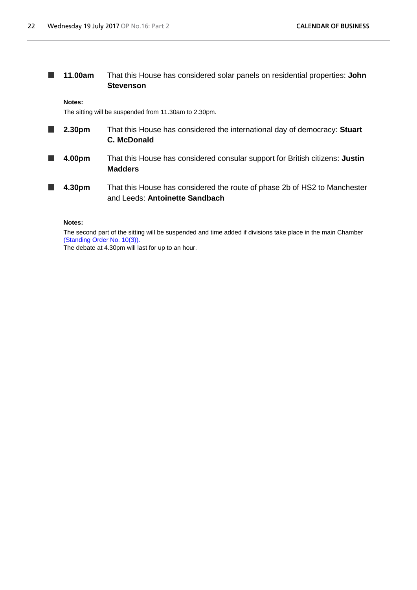**11.00am** That this House has considered solar panels on residential properties: **John Tara Stevenson**

#### **Notes:**

The sitting will be suspended from 11.30am to 2.30pm.

- $\overline{\phantom{a}}$ **2.30pm** That this House has considered the international day of democracy: **Stuart C. McDonald**
- **4.00pm** That this House has considered consular support for British citizens: **Justin**  . **Madders**
- **4.30pm** That this House has considered the route of phase 2b of HS2 to Manchester П and Leeds: **Antoinette Sandbach**

#### **Notes:**

The second part of the sitting will be suspended and time added if divisions take place in the main Chamber [\(Standing Order No. 10\(3\)\).](https://www.publications.parliament.uk/pa/cm201718/cmstords/0004/body.html#10(3))

The debate at 4.30pm will last for up to an hour.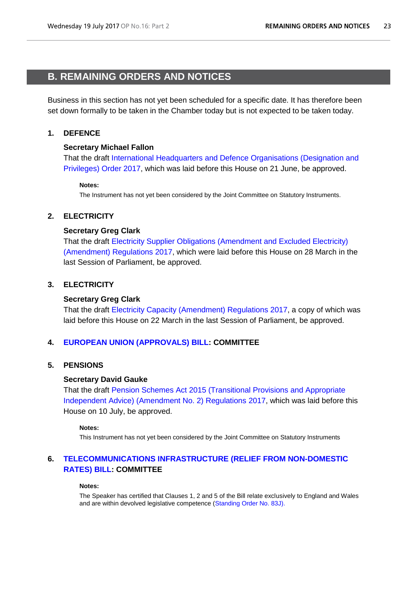# <span id="page-22-1"></span><span id="page-22-0"></span>**B. REMAINING ORDERS AND NOTICES**

Business in this section has not yet been scheduled for a specific date. It has therefore been set down formally to be taken in the Chamber today but is not expected to be taken today.

### **1. DEFENCE**

#### **Secretary Michael Fallon**

That the draft [International Headquarters and Defence Organisations \(Designation and](http://www.legislation.gov.uk/ukdsi/2017/9780111158463/pdfs/ukdsi_9780111158463_en.pdf)  [Privileges\) Order 2017,](http://www.legislation.gov.uk/ukdsi/2017/9780111158463/pdfs/ukdsi_9780111158463_en.pdf) which was laid before this House on 21 June, be approved.

#### **Notes:**

The Instrument has not yet been considered by the Joint Committee on Statutory Instruments.

#### **2. ELECTRICITY**

#### **Secretary Greg Clark**

That the draft [Electricity Supplier Obligations \(Amendment and Excluded Electricity\)](http://www.legislation.gov.uk/ukdsi/2017/9780111157015/pdfs/ukdsi_9780111157015_en.pdf)  [\(Amendment\) Regulations 2017,](http://www.legislation.gov.uk/ukdsi/2017/9780111157015/pdfs/ukdsi_9780111157015_en.pdf) which were laid before this House on 28 March in the last Session of Parliament, be approved.

#### **3. ELECTRICITY**

#### **Secretary Greg Clark**

That the draft [Electricity Capacity \(Amendment\) Regulations 2017,](http://www.legislation.gov.uk/ukdsi/2017/9780111157022/pdfs/ukdsi_9780111157022_en.pdf) a copy of which was laid before this House on 22 March in the last Session of Parliament, be approved.

#### **4. [EUROPEAN UNION \(APPROVALS\) BILL:](https://www.publications.parliament.uk/pa/bills/cbill/2017-2019/0002/18002.pdf) COMMITTEE**

## **5. PENSIONS**

#### **Secretary David Gauke**

That the draft [Pension Schemes Act 2015 \(Transitional Provisions and Appropriate](http://www.legislation.gov.uk/ukdsi/2017/9780111158739/pdfs/ukdsi_9780111158739_en.pdf)  [Independent Advice\) \(Amendment No. 2\) Regulations 2017,](http://www.legislation.gov.uk/ukdsi/2017/9780111158739/pdfs/ukdsi_9780111158739_en.pdf) which was laid before this House on 10 July, be approved.

#### **Notes:**

This Instrument has not yet been considered by the Joint Committee on Statutory Instruments

# **6. [TELECOMMUNICATIONS INFRASTRUCTURE \(RELIEF FROM NON-DOMESTIC](https://www.publications.parliament.uk/pa/bills/cbill/2017-2019/0003/18003.pdf)  [RATES\) BILL:](https://www.publications.parliament.uk/pa/bills/cbill/2017-2019/0003/18003.pdf) COMMITTEE**

#### **Notes:**

The Speaker has certified that Clauses 1, 2 and 5 of the Bill relate exclusively to England and Wales and are within devolved legislative competence [\(Standing Order No. 83J\)](https://www.publications.parliament.uk/pa/cm201718/cmstords/0004/body.html#83J).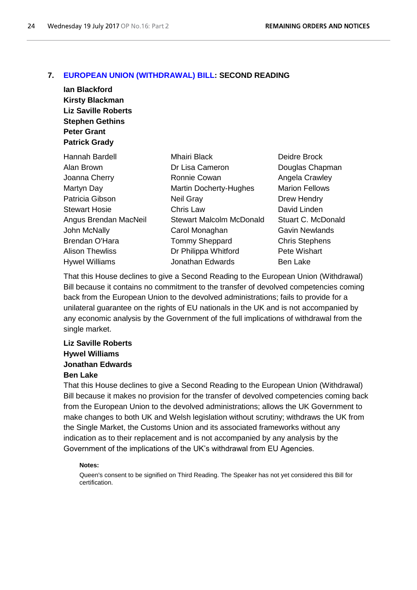#### **7. [EUROPEAN UNION \(WITHDRAWAL\) BILL:](https://www.publications.parliament.uk/pa/bills/cbill/2017-2019/0005/18005.pdf) SECOND READING**

**Ian Blackford Kirsty Blackman Liz Saville Roberts Stephen Gethins Peter Grant Patrick Grady**

Alan Brown **Dr Lisa Cameron** Douglas Chapman Joanna Cherry **Ronnie Cowan** Angela Crawley Martyn Day Martin Docherty-Hughes Marion Fellows Patricia Gibson **Neil Gray** Neil Gray Drew Hendry Stewart Hosie **Chris Law** Chris Law David Linden Angus Brendan MacNeil Stewart Malcolm McDonald Stuart C. McDonald John McNally Carol Monaghan Gavin Newlands Brendan O'Hara **Tommy Sheppard** Chris Stephens Alison Thewliss **Dr Philippa Whitford** Pete Wishart Hywel Williams **Internal Multims** Jonathan Edwards **Ben Lake** 

Hannah Bardell Mhairi Black Deidre Brock

That this House declines to give a Second Reading to the European Union (Withdrawal) Bill because it contains no commitment to the transfer of devolved competencies coming back from the European Union to the devolved administrations; fails to provide for a unilateral guarantee on the rights of EU nationals in the UK and is not accompanied by any economic analysis by the Government of the full implications of withdrawal from the single market.

# **Liz Saville Roberts Hywel Williams Jonathan Edwards Ben Lake**

That this House declines to give a Second Reading to the European Union (Withdrawal) Bill because it makes no provision for the transfer of devolved competencies coming back from the European Union to the devolved administrations; allows the UK Government to make changes to both UK and Welsh legislation without scrutiny; withdraws the UK from the Single Market, the Customs Union and its associated frameworks without any indication as to their replacement and is not accompanied by any analysis by the Government of the implications of the UK's withdrawal from EU Agencies.

#### **Notes:**

Queen's consent to be signified on Third Reading. The Speaker has not yet considered this Bill for certification.